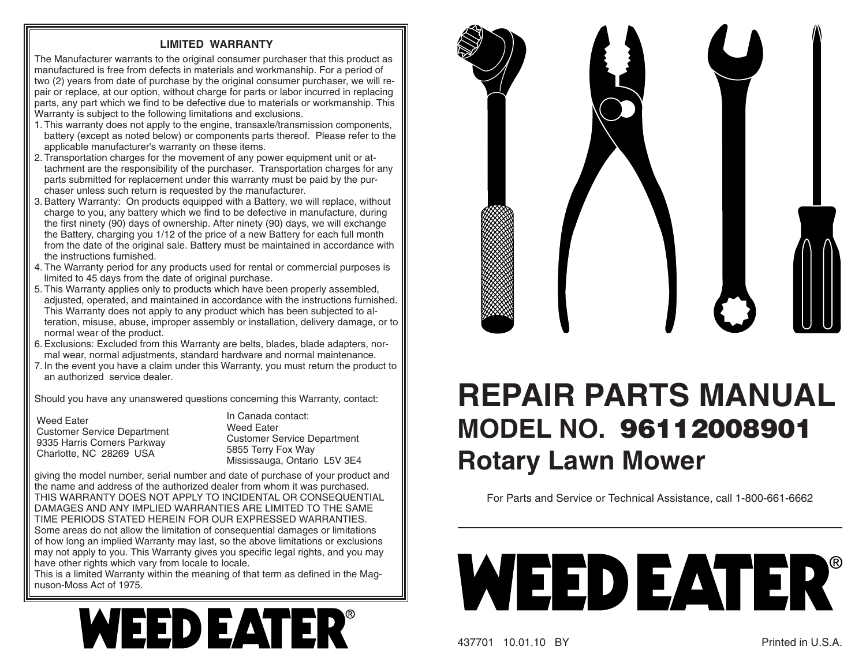## **LIMITED WARRANTY**

The Manufacturer warrants to the original consumer purchaser that this product as manufactured is free from defects in materials and workmanship. For a period of two (2) years from date of purchase by the original consumer purchaser, we will repair or replace, at our option, without charge for parts or labor incurred in replacing parts, any part which we find to be defective due to materials or work manship. This Warranty is subject to the following limitations and exclusions.

- 1. This warranty does not apply to the engine, transaxle/transmission components, battery (except as noted below) or components parts thereof. Please refer to the applicable manufacturer's warranty on these items.
- 2. Transportation charges for the movement of any power equipment unit or attachment are the responsibility of the purchaser. Transportation charges for any parts submitted for replacement under this warranty must be paid by the purchaser unless such return is requested by the manufacturer.
- 3. Battery Warranty: On products equipped with a Battery, we will replace, without charge to you, any battery which we find to be defective in manufacture, during the first ninety (90) days of ownership. After ninety (90) days, we will exchange the Battery, charging you 1/12 of the price of a new Battery for each full month from the date of the original sale. Battery must be maintained in accordance with the instructions furnished.
- 4. The Warranty period for any products used for rental or commercial purposes is limited to 45 days from the date of original purchase.
- 5. This Warranty applies only to products which have been properly assembled, adjusted, operated, and maintained in accordance with the instructions furnished. This Warranty does not apply to any product which has been subjected to alteration, misuse, abuse, improper assembly or installation, delivery damage, or to normal wear of the product.
- 6. Exclusions: Excluded from this Warranty are belts, blades, blade adapters, normal wear, normal adjustments, standard hardware and normal maintenance.
- 7. In the event you have a claim under this Warranty, you must return the product to an authorized service dealer.

Should you have any unanswered questions concerning this Warranty, contact:

| Weed Eater                         |
|------------------------------------|
| <b>Customer Service Department</b> |
| 9335 Harris Corners Parkway        |
| Charlotte, NC 28269 USA            |

In Canada contact:Weed EaterCustomer Service Department 5855 Terry Fox Way Mississauga, Ontario L5V 3E4

giving the model number, serial number and date of purchase of your product and the name and address of the authorized dealer from whom it was purchased. THIS WARRANTY DOES NOT APPLY TO INCIDENTAL OR CONSEQUENTIAL DAMAGES AND ANY IMPLIED WARRANTIES ARE LIMITED TO THE SAME TIME PERIODS STATED HEREIN FOR OUR EXPRESSED WARRANTIES. Some areas do not allow the limitation of consequential damages or limitations of how long an implied Warranty may last, so the above limitations or exclusions may not apply to you. This Warranty gives you specific legal rights, and you may

have other rights which vary from locale to locale. This is a limited Warranty within the meaning of that term as defined in the Magnuson-Moss Act of 1975.





## **REPAIR PARTS MANUALMODEL NO. 96112008901Rotary Lawn Mower**

For Parts and Service or Technical Assistance, call 1-800-661-6662



437701 10.01.10 BY Printed in U.S.A.